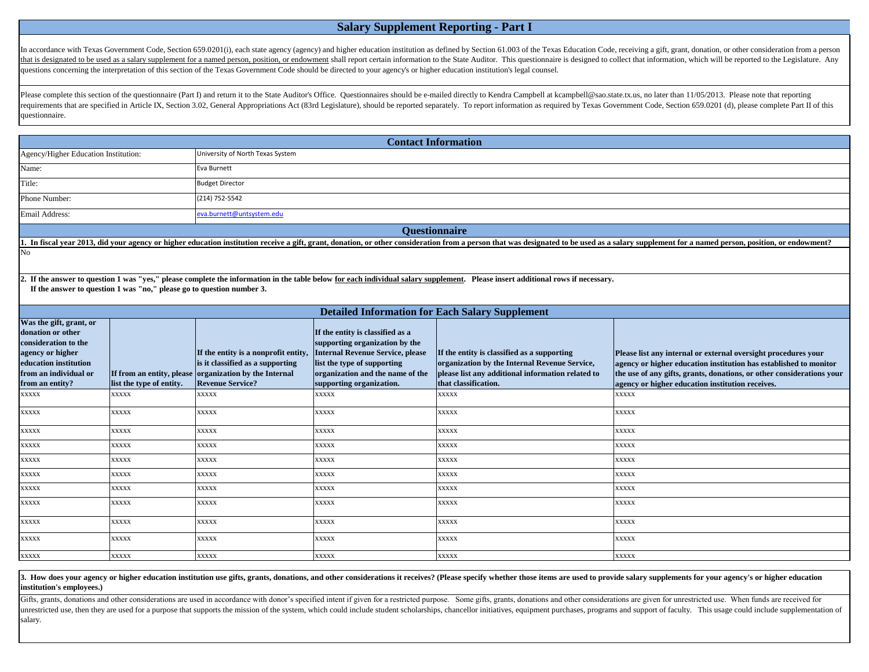In accordance with Texas Government Code, Section 659.0201(i), each state agency (agency) and higher education institution as defined by Section 61.003 of the Texas Education Code, receiving a gift, grant, donation, or oth that is designated to be used as a salary supplement for a named person, position, or endowment shall report certain information to the State Auditor. This questionnaire is designed to collect that information, which will questions concerning the interpretation of this section of the Texas Government Code should be directed to your agency's or higher education institution's legal counsel.

## **Salary Supplement Reporting - Part I**

Please complete this section of the questionnaire (Part I) and return it to the State Auditor's Office. Questionnaires should be e-mailed directly to Kendra Campbell at kcampbell@sao.state.tx.us, no later than 11/05/2013. requirements that are specified in Article IX, Section 3.02, General Appropriations Act (83rd Legislature), should be reported separately. To report information as required by Texas Government Code, Section 659.0201 (d), p questionnaire.

Gifts, grants, donations and other considerations are used in accordance with donor's specified intent if given for a restricted purpose. Some gifts, grants, donations and other considerations are given for unrestricted us unrestricted use, then they are used for a purpose that supports the mission of the system, which could include student scholarships, chancellor initiatives, equipment purchases, programs and support of faculty. This usage salary.

3. How does your agency or higher education institution use gifts, grants, donations, and other considerations it receives? (Please specify whether those items are used to provide salary supplements for your agency's or hi **institution's employees.)**

|                                                                                                                                                                                                                                                          |                          |                                                                                                                                                               | <b>Contact Information</b>                                                                                                                                                                                   |                                                                                                                                                                           |                                                                                                                                                                                                                                                                  |  |  |
|----------------------------------------------------------------------------------------------------------------------------------------------------------------------------------------------------------------------------------------------------------|--------------------------|---------------------------------------------------------------------------------------------------------------------------------------------------------------|--------------------------------------------------------------------------------------------------------------------------------------------------------------------------------------------------------------|---------------------------------------------------------------------------------------------------------------------------------------------------------------------------|------------------------------------------------------------------------------------------------------------------------------------------------------------------------------------------------------------------------------------------------------------------|--|--|
| Agency/Higher Education Institution:                                                                                                                                                                                                                     |                          | University of North Texas System                                                                                                                              |                                                                                                                                                                                                              |                                                                                                                                                                           |                                                                                                                                                                                                                                                                  |  |  |
| Name:                                                                                                                                                                                                                                                    |                          | Eva Burnett                                                                                                                                                   |                                                                                                                                                                                                              |                                                                                                                                                                           |                                                                                                                                                                                                                                                                  |  |  |
| Title:                                                                                                                                                                                                                                                   |                          | <b>Budget Director</b>                                                                                                                                        |                                                                                                                                                                                                              |                                                                                                                                                                           |                                                                                                                                                                                                                                                                  |  |  |
| Phone Number:                                                                                                                                                                                                                                            |                          | (214) 752-5542                                                                                                                                                |                                                                                                                                                                                                              |                                                                                                                                                                           |                                                                                                                                                                                                                                                                  |  |  |
| Email Address:                                                                                                                                                                                                                                           |                          | eva.burnett@untsystem.edu                                                                                                                                     |                                                                                                                                                                                                              |                                                                                                                                                                           |                                                                                                                                                                                                                                                                  |  |  |
| <b>Questionnaire</b>                                                                                                                                                                                                                                     |                          |                                                                                                                                                               |                                                                                                                                                                                                              |                                                                                                                                                                           |                                                                                                                                                                                                                                                                  |  |  |
|                                                                                                                                                                                                                                                          |                          |                                                                                                                                                               |                                                                                                                                                                                                              |                                                                                                                                                                           | 1. In fiscal year 2013, did your agency or higher education institution receive a gift, grant, donation, or other consideration from a person that was designated to be used as a salary supplement for a named person, positi                                   |  |  |
| No                                                                                                                                                                                                                                                       |                          |                                                                                                                                                               |                                                                                                                                                                                                              |                                                                                                                                                                           |                                                                                                                                                                                                                                                                  |  |  |
| 2. If the answer to question 1 was "yes," please complete the information in the table below for each individual salary supplement. Please insert additional rows if necessary.<br>If the answer to question 1 was "no," please go to question number 3. |                          |                                                                                                                                                               |                                                                                                                                                                                                              |                                                                                                                                                                           |                                                                                                                                                                                                                                                                  |  |  |
|                                                                                                                                                                                                                                                          |                          |                                                                                                                                                               |                                                                                                                                                                                                              | <b>Detailed Information for Each Salary Supplement</b>                                                                                                                    |                                                                                                                                                                                                                                                                  |  |  |
| Was the gift, grant, or<br>donation or other<br>consideration to the<br>agency or higher<br>education institution<br>from an individual or<br>from an entity?                                                                                            | list the type of entity. | If the entity is a nonprofit entity,<br>is it classified as a supporting<br>If from an entity, please organization by the Internal<br><b>Revenue Service?</b> | If the entity is classified as a<br>supporting organization by the<br><b>Internal Revenue Service, please</b><br>list the type of supporting<br>organization and the name of the<br>supporting organization. | If the entity is classified as a supporting<br>organization by the Internal Revenue Service,<br>please list any additional information related to<br>that classification. | Please list any internal or external oversight procedures your<br>agency or higher education institution has established to monitor<br>the use of any gifts, grants, donations, or other considerations your<br>agency or higher education institution receives. |  |  |
| <b>XXXXX</b>                                                                                                                                                                                                                                             | <b>XXXXX</b>             | <b>XXXXX</b>                                                                                                                                                  | <b>XXXXX</b>                                                                                                                                                                                                 | <b>XXXXX</b>                                                                                                                                                              | <b>XXXXX</b>                                                                                                                                                                                                                                                     |  |  |
| <b>XXXXX</b>                                                                                                                                                                                                                                             | <b>XXXXX</b>             | <b>XXXXX</b>                                                                                                                                                  | <b>XXXXX</b>                                                                                                                                                                                                 | <b>XXXXX</b>                                                                                                                                                              | <b>XXXXX</b>                                                                                                                                                                                                                                                     |  |  |
| <b>XXXXX</b>                                                                                                                                                                                                                                             | <b>XXXXX</b>             | <b>XXXXX</b>                                                                                                                                                  | <b>XXXXX</b>                                                                                                                                                                                                 | <b>XXXXX</b>                                                                                                                                                              | <b>XXXXX</b>                                                                                                                                                                                                                                                     |  |  |
| <b>XXXXX</b>                                                                                                                                                                                                                                             | <b>XXXXX</b>             | <b>XXXXX</b>                                                                                                                                                  | <b>XXXXX</b>                                                                                                                                                                                                 | <b>XXXXX</b>                                                                                                                                                              | <b>XXXXX</b>                                                                                                                                                                                                                                                     |  |  |
| <b>XXXXX</b>                                                                                                                                                                                                                                             | XXXXX                    | <b>XXXXX</b>                                                                                                                                                  | XXXXX                                                                                                                                                                                                        | XXXXX                                                                                                                                                                     | <b>XXXXX</b>                                                                                                                                                                                                                                                     |  |  |
| <b>XXXXX</b>                                                                                                                                                                                                                                             | <b>XXXXX</b>             | <b>XXXXX</b>                                                                                                                                                  | XXXXX                                                                                                                                                                                                        | XXXXX                                                                                                                                                                     | <b>XXXXX</b>                                                                                                                                                                                                                                                     |  |  |
| <b>XXXXX</b>                                                                                                                                                                                                                                             | XXXXX                    | <b>XXXXX</b>                                                                                                                                                  | <b>XXXXX</b>                                                                                                                                                                                                 | <b>XXXXX</b>                                                                                                                                                              | <b>XXXXX</b>                                                                                                                                                                                                                                                     |  |  |
| <b>XXXXX</b>                                                                                                                                                                                                                                             | <b>XXXXX</b>             | <b>XXXXX</b>                                                                                                                                                  | <b>XXXXX</b>                                                                                                                                                                                                 | <b>XXXXX</b>                                                                                                                                                              | <b>XXXXX</b>                                                                                                                                                                                                                                                     |  |  |
| <b>XXXXX</b>                                                                                                                                                                                                                                             | <b>XXXXX</b>             | <b>XXXXX</b>                                                                                                                                                  | <b>XXXXX</b>                                                                                                                                                                                                 | <b>XXXXX</b>                                                                                                                                                              | <b>XXXXX</b>                                                                                                                                                                                                                                                     |  |  |
| <b>XXXXX</b>                                                                                                                                                                                                                                             | <b>XXXXX</b>             | <b>XXXXX</b>                                                                                                                                                  | <b>XXXXX</b>                                                                                                                                                                                                 | <b>XXXXX</b>                                                                                                                                                              | <b>XXXXX</b>                                                                                                                                                                                                                                                     |  |  |
| <b>XXXXX</b>                                                                                                                                                                                                                                             | <b>XXXXX</b>             | <b>XXXXX</b>                                                                                                                                                  | <b>XXXXX</b>                                                                                                                                                                                                 | <b>XXXXX</b>                                                                                                                                                              | <b>XXXXX</b>                                                                                                                                                                                                                                                     |  |  |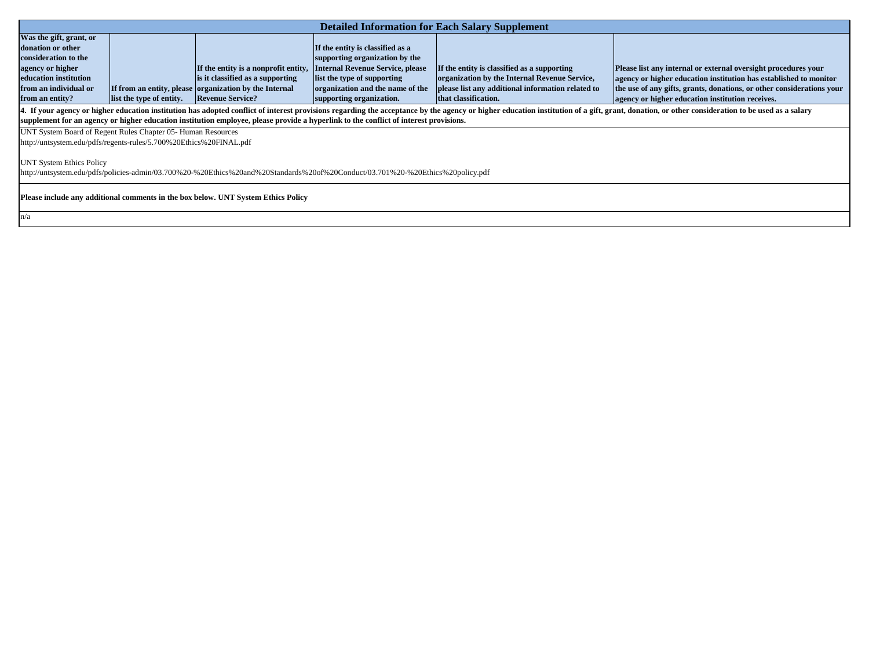|                                                                                                                                                                                | <b>Detailed Information for Each Salary Supplement</b>                                                          |                          |                                                                       |                                  |                                                   |  |
|--------------------------------------------------------------------------------------------------------------------------------------------------------------------------------|-----------------------------------------------------------------------------------------------------------------|--------------------------|-----------------------------------------------------------------------|----------------------------------|---------------------------------------------------|--|
|                                                                                                                                                                                | Was the gift, grant, or                                                                                         |                          |                                                                       |                                  |                                                   |  |
|                                                                                                                                                                                | donation or other                                                                                               |                          |                                                                       | If the entity is classified as a |                                                   |  |
|                                                                                                                                                                                | consideration to the                                                                                            |                          |                                                                       | supporting organization by the   |                                                   |  |
|                                                                                                                                                                                | agency or higher                                                                                                |                          | If the entity is a nonprofit entity, Internal Revenue Service, please |                                  | If the entity is classified as a supporting       |  |
|                                                                                                                                                                                | education institution                                                                                           |                          | is it classified as a supporting                                      | list the type of supporting      | organization by the Internal Revenue Service,     |  |
|                                                                                                                                                                                | from an individual or                                                                                           |                          | If from an entity, please organization by the Internal                | organization and the name of the | please list any additional information related to |  |
|                                                                                                                                                                                | from an entity?                                                                                                 | list the type of entity. | <b>Revenue Service?</b>                                               | supporting organization.         | that classification.                              |  |
| 4. If your agency or higher education institution has adopted conflict of interest provisions regarding the acceptance by the agency or higher education institution of a gift |                                                                                                                 |                          |                                                                       |                                  |                                                   |  |
|                                                                                                                                                                                | Localistica Provincia di calcio di cappo praggio della contra di controle di di Palazzato di Mbara Postola di M |                          |                                                                       |                                  |                                                   |  |

**Please list any internal or external oversight procedures your agency or higher education institution has established to monitor the use of any gifts, grants, donations, or other considerations your agency or higher education institution receives.**

t, grant, donation, or other consideration to be used as a salary

n/a

**supplement for an agency or higher education institution employee, please provide a hyperlink to the conflict of interest provisions.** 

UNT System Board of Regent Rules Chapter 05- Human Resources

http://untsystem.edu/pdfs/regents-rules/5.700%20Ethics%20FINAL.pdf

UNT System Ethics Policy

http://untsystem.edu/pdfs/policies-admin/03.700%20-%20Ethics%20and%20Standards%20of%20Conduct/03.701%20-%20Ethics%20policy.pdf

**Please include any additional comments in the box below. UNT System Ethics Policy**